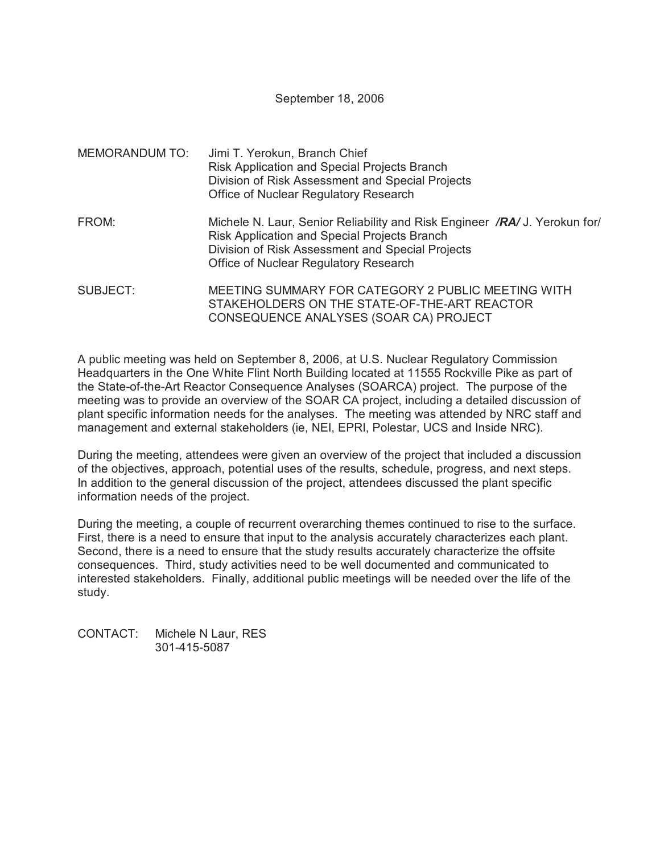September 18, 2006

| MEMORANDUM TO: | Jimi T. Yerokun, Branch Chief<br>Risk Application and Special Projects Branch<br>Division of Risk Assessment and Special Projects<br>Office of Nuclear Regulatory Research                                              |
|----------------|-------------------------------------------------------------------------------------------------------------------------------------------------------------------------------------------------------------------------|
| FROM:          | Michele N. Laur, Senior Reliability and Risk Engineer /RA/ J. Yerokun for/<br>Risk Application and Special Projects Branch<br>Division of Risk Assessment and Special Projects<br>Office of Nuclear Regulatory Research |
| SUBJECT:       | MEETING SUMMARY FOR CATEGORY 2 PUBLIC MEETING WITH<br>STAKEHOLDERS ON THE STATE-OF-THE-ART REACTOR<br>CONSEQUENCE ANALYSES (SOAR CA) PROJECT                                                                            |

A public meeting was held on September 8, 2006, at U.S. Nuclear Regulatory Commission Headquarters in the One White Flint North Building located at 11555 Rockville Pike as part of the State-of-the-Art Reactor Consequence Analyses (SOARCA) project. The purpose of the meeting was to provide an overview of the SOAR CA project, including a detailed discussion of plant specific information needs for the analyses. The meeting was attended by NRC staff and management and external stakeholders (ie, NEI, EPRI, Polestar, UCS and Inside NRC).

During the meeting, attendees were given an overview of the project that included a discussion of the objectives, approach, potential uses of the results, schedule, progress, and next steps. In addition to the general discussion of the project, attendees discussed the plant specific information needs of the project.

During the meeting, a couple of recurrent overarching themes continued to rise to the surface. First, there is a need to ensure that input to the analysis accurately characterizes each plant. Second, there is a need to ensure that the study results accurately characterize the offsite consequences. Third, study activities need to be well documented and communicated to interested stakeholders. Finally, additional public meetings will be needed over the life of the study.

CONTACT: Michele N Laur, RES 301-415-5087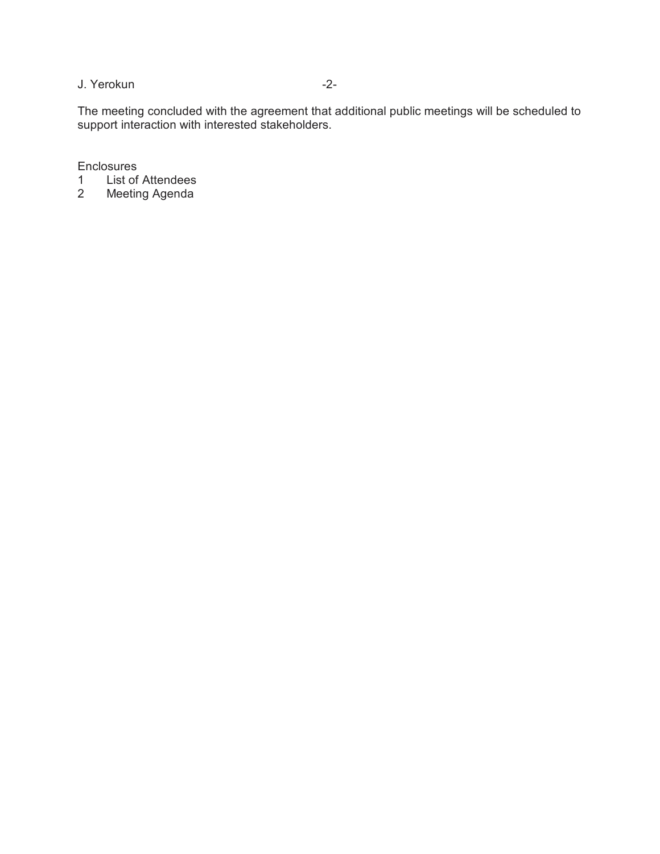## J. Yerokun -2-

The meeting concluded with the agreement that additional public meetings will be scheduled to support interaction with interested stakeholders.

**Enclosures** 

- 1 List of Attendees<br>2 Meeting Agenda
- **Meeting Agenda**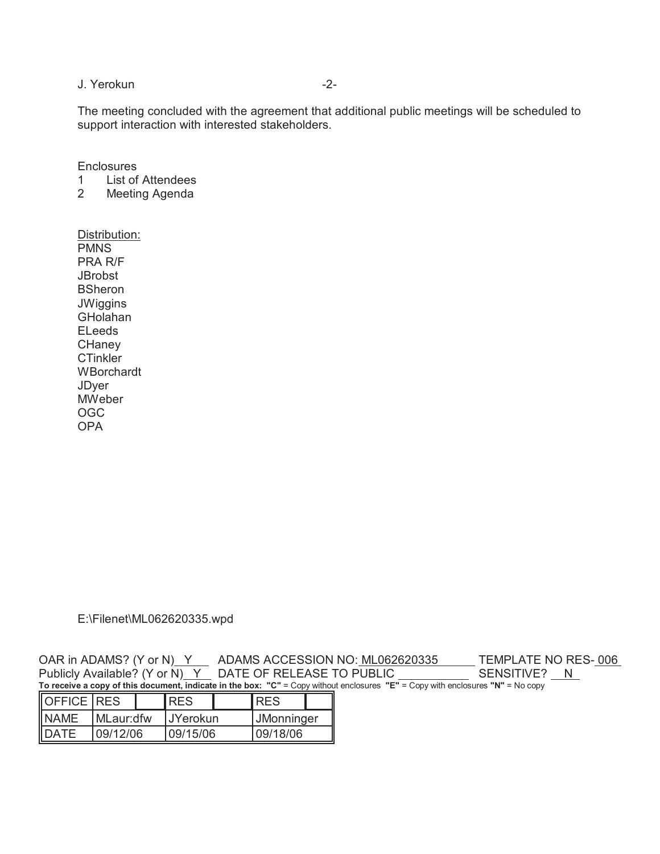## J. Yerokun -2-

The meeting concluded with the agreement that additional public meetings will be scheduled to support interaction with interested stakeholders.

**Enclosures** 

- 1 List of Attendees<br>2 Meeting Agenda
- **Meeting Agenda**

Distribution: PMNS PRA R/F **JBrobst BSheron JWiggins** GHolahan ELeeds **CHaney CTinkler WBorchardt** JDyer **MWeber** OGC OPA

E:\Filenet\ML062620335.wpd

OAR in ADAMS? (Y or N) Y ADAMS ACCESSION NO: ML062620335 TEMPLATE NO RES-006 Publicly Available? (Y or N)\_Y\_\_ DATE OF RELEASE TO PUBLIC \_\_\_\_\_\_\_\_\_\_\_\_\_\_ SENSITIVE? \_\_N\_ **To receive a copy of this document, indicate in the box: "C"** = Copy without enclosures **"E"** = Copy with enclosures **"N"** = No copy

| $O$ FFICE RES |             |  | <b>RES</b>       |  | IRES              |  |
|---------------|-------------|--|------------------|--|-------------------|--|
| <b>NAME</b>   | I MLaur:dfw |  | <b>IJYerokun</b> |  | <b>JMonninger</b> |  |
| <b>DATE</b>   | 109/12/06   |  | 109/15/06        |  | 109/18/06         |  |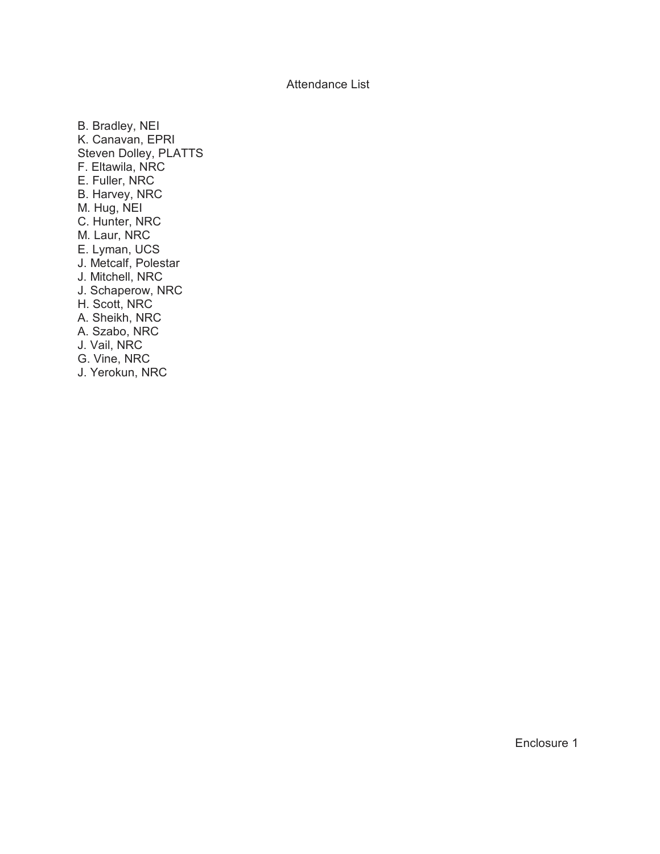Attendance List

B. Bradley, NEI K. Canavan, EPRI Steven Dolley, PLATTS F. Eltawila, NRC E. Fuller, NRC B. Harvey, NRC M. Hug, NEI C. Hunter, NRC M. Laur, NRC E. Lyman, UCS J. Metcalf, Polestar J. Mitchell, NRC J. Schaperow, NRC H. Scott, NRC A. Sheikh, NRC A. Szabo, NRC J. Vail, NRC G. Vine, NRC J. Yerokun, NRC